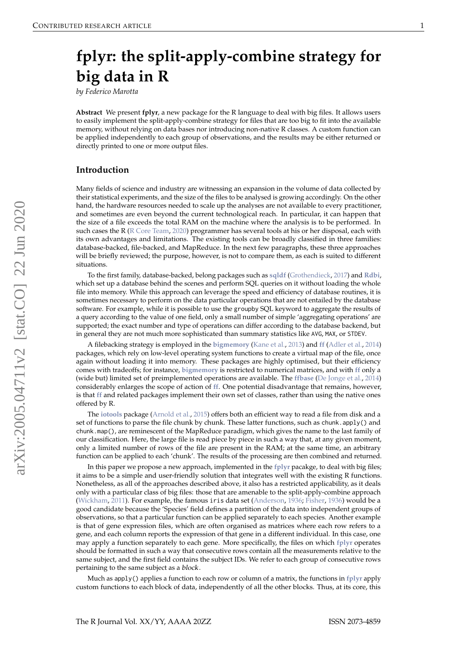# <span id="page-0-0"></span>**fplyr: the split-apply-combine strategy for big data in R**

*by Federico Marotta*

**Abstract** We present **fplyr**, a new package for the R language to deal with big files. It allows users to easily implement the split-apply-combine strategy for files that are too big to fit into the available memory, without relying on data bases nor introducing non-native R classes. A custom function can be applied independently to each group of observations, and the results may be either returned or directly printed to one or more output files.

#### **Introduction**

Many fields of science and industry are witnessing an expansion in the volume of data collected by their statistical experiments, and the size of the files to be analysed is growing accordingly. On the other hand, the hardware resources needed to scale up the analyses are not available to every practitioner, and sometimes are even beyond the current technological reach. In particular, it can happen that the size of a file exceeds the total RAM on the machine where the analysis is to be performed. In such cases the R [\(R Core Team,](#page-4-0) [2020\)](#page-4-0) programmer has several tools at his or her disposal, each with its own advantages and limitations. The existing tools can be broadly classified in three families: database-backed, file-backed, and MapReduce. In the next few paragraphs, these three approaches will be briefly reviewed; the purpose, however, is not to compare them, as each is suited to different situations.

To the first family, database-backed, belong packages such as **[sqldf](https://CRAN.R-project.org/package=sqldf)** [\(Grothendieck,](#page-4-1) [2017\)](#page-4-1) and **[Rdbi](http://rdbi.sourceforge.net/)**, which set up a database behind the scenes and perform SQL queries on it without loading the whole file into memory. While this approach can leverage the speed and efficiency of database routines, it is sometimes necessary to perform on the data particular operations that are not entailed by the database software. For example, while it is possible to use the groupby SQL keyword to aggregate the results of a query according to the value of one field, only a small number of simple 'aggregating operations' are supported; the exact number and type of operations can differ according to the database backend, but in general they are not much more sophisticated than summary statistics like AVG, MAX, or STDEV.

A filebacking strategy is employed in the **[bigmemory](https://CRAN.R-project.org/package=bigmemory)** [\(Kane et al.,](#page-4-2) [2013\)](#page-4-2) and **[ff](https://CRAN.R-project.org/package=ff)** [\(Adler et al.,](#page-4-3) [2014\)](#page-4-3) packages, which rely on low-level operating system functions to create a virtual map of the file, once again without loading it into memory. These packages are highly optimised, but their efficiency comes with tradeoffs; for instance, **[bigmemory](https://CRAN.R-project.org/package=bigmemory)** is restricted to numerical matrices, and with **[ff](https://CRAN.R-project.org/package=ff)** only a (wide but) limited set of preimplemented operations are available. The **[ffbase](https://CRAN.R-project.org/package=ffbase)** [\(De Jonge et al.,](#page-4-4) [2014\)](#page-4-4) considerably enlarges the scope of action of **[ff](https://CRAN.R-project.org/package=ff)**. One potential disadvantage that remains, however, is that **[ff](https://CRAN.R-project.org/package=ff)** and related packages implement their own set of classes, rather than using the native ones offered by R.

The **[iotools](https://CRAN.R-project.org/package=iotools)** package [\(Arnold et al.,](#page-4-5) [2015\)](#page-4-5) offers both an efficient way to read a file from disk and a set of functions to parse the file chunk by chunk. These latter functions, such as chunk.apply() and chunk.map(), are reminescent of the MapReduce paradigm, which gives the name to the last family of our classification. Here, the large file is read piece by piece in such a way that, at any given moment, only a limited number of rows of the file are present in the RAM; at the same time, an arbitrary function can be applied to each 'chunk'. The results of the processing are then combined and returned.

In this paper we propose a new approach, implemented in the **[fplyr](https://CRAN.R-project.org/package=fplyr)** pacakge, to deal with big files; it aims to be a simple and user-friendly solution that integrates well with the existing R functions. Nonetheless, as all of the approaches described above, it also has a restricted applicability, as it deals only with a particular class of big files: those that are amenable to the split-apply-combine approach [\(Wickham,](#page-5-0) [2011\)](#page-5-0). For example, the famous iris data set [\(Anderson,](#page-4-6) [1936;](#page-4-6) [Fisher,](#page-4-7) [1936\)](#page-4-7) would be a good candidate because the 'Species' field defines a partition of the data into independent groups of observations, so that a particular function can be applied separately to each species. Another example is that of gene expression files, which are often organised as matrices where each row refers to a gene, and each column reports the expression of that gene in a different individual. In this case, one may apply a function separately to each gene. More specifically, the files on which **[fplyr](https://CRAN.R-project.org/package=fplyr)** operates should be formatted in such a way that consecutive rows contain all the measurements relative to the same subject, and the first field contains the subject IDs. We refer to each group of consecutive rows pertaining to the same subject as a block.

Much as apply() applies a function to each row or column of a matrix, the functions in **[fplyr](https://CRAN.R-project.org/package=fplyr)** apply custom functions to each block of data, independently of all the other blocks. Thus, at its core, this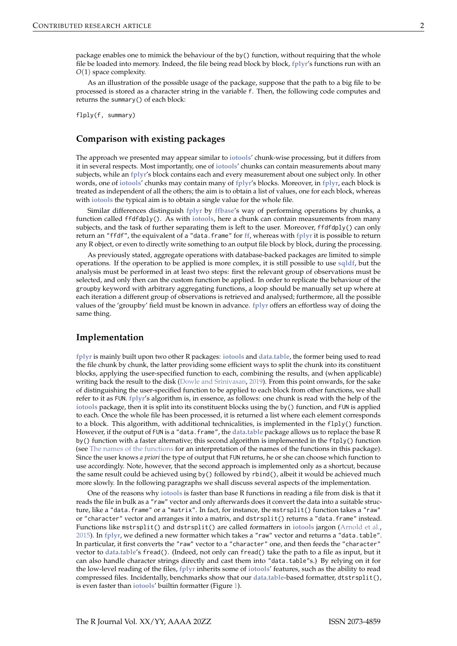package enables one to mimick the behaviour of the by() function, without requiring that the whole file be loaded into memory. Indeed, the file being read block by block, **[fplyr](https://CRAN.R-project.org/package=fplyr)**'s functions run with an *O*(1) space complexity.

As an illustration of the possible usage of the package, suppose that the path to a big file to be processed is stored as a character string in the variable f. Then, the following code computes and returns the summary() of each block:

flply(f, summary)

## **Comparison with existing packages**

The approach we presented may appear similar to **[iotools](https://CRAN.R-project.org/package=iotools)**' chunk-wise processing, but it differs from it in several respects. Most importantly, one of **[iotools](https://CRAN.R-project.org/package=iotools)**' chunks can contain measurements about many subjects, while an **[fplyr](https://CRAN.R-project.org/package=fplyr)**'s block contains each and every measurement about one subject only. In other words, one of **[iotools](https://CRAN.R-project.org/package=iotools)**' chunks may contain many of **[fplyr](https://CRAN.R-project.org/package=fplyr)**'s blocks. Moreover, in **[fplyr](https://CRAN.R-project.org/package=fplyr)**, each block is treated as independent of all the others; the aim is to obtain a list of values, one for each block, whereas with **[iotools](https://CRAN.R-project.org/package=iotools)** the typical aim is to obtain a single value for the whole file.

Similar differences distinguish **[fplyr](https://CRAN.R-project.org/package=fplyr)** by **[ffbase](https://CRAN.R-project.org/package=ffbase)**'s way of performing operations by chunks, a function called ffdfdply(). As with **[iotools](https://CRAN.R-project.org/package=iotools)**, here a chunk can contain measurements from many subjects, and the task of further separating them is left to the user. Moreover, ffdfdply() can only return an "ffdf", the equivalent of a "data.frame" for **[ff](https://CRAN.R-project.org/package=ff)**, whereas with **[fplyr](https://CRAN.R-project.org/package=fplyr)** it is possible to return any R object, or even to directly write something to an output file block by block, during the processing.

As previously stated, aggregate operations with database-backed packages are limited to simple operations. If the operation to be applied is more complex, it is still possible to use **[sqldf](https://CRAN.R-project.org/package=sqldf)**, but the analysis must be performed in at least two steps: first the relevant group of observations must be selected, and only then can the custom function be applied. In order to replicate the behaviour of the groupby keyword with arbitrary aggregating functions, a loop should be manually set up where at each iteration a different group of observations is retrieved and analysed; furthermore, all the possible values of the 'groupby' field must be known in advance. **[fplyr](https://CRAN.R-project.org/package=fplyr)** offers an effortless way of doing the same thing.

## **Implementation**

**[fplyr](https://CRAN.R-project.org/package=fplyr)** is mainly built upon two other R packages: **[iotools](https://CRAN.R-project.org/package=iotools)** and **[data.table](https://CRAN.R-project.org/package=data.table)**, the former being used to read the file chunk by chunk, the latter providing some efficient ways to split the chunk into its constituent blocks, applying the user-specified function to each, combining the results, and (when applicable) writing back the result to the disk [\(Dowle and Srinivasan,](#page-4-8) [2019\)](#page-4-8). From this point onwards, for the sake of distinguishing the user-specified function to be applied to each block from other functions, we shall refer to it as FUN. **[fplyr](https://CRAN.R-project.org/package=fplyr)**'s algorithm is, in essence, as follows: one chunk is read with the help of the **[iotools](https://CRAN.R-project.org/package=iotools)** package, then it is split into its constituent blocks using the by() function, and FUN is applied to each. Once the whole file has been processed, it is returned a list where each element corresponds to a block. This algorithm, with additional technicalities, is implemented in the flply() function. However, if the output of FUN is a "data. frame", the [data.table](https://CRAN.R-project.org/package=data.table) package allows us to replace the base R by() function with a faster alternative; this second algorithm is implemented in the ftply() function (see [The names of the functions](#page-3-0) for an interpretation of the names of the functions in this package). Since the user knows *a priori* the type of output that FUN returns, he or she can choose which function to use accordingly. Note, however, that the second approach is implemented only as a shortcut, because the same result could be achieved using by() followed by rbind(), albeit it would be achieved much more slowly. In the following paragraphs we shall discuss several aspects of the implementation.

One of the reasons why **[iotools](https://CRAN.R-project.org/package=iotools)** is faster than base R functions in reading a file from disk is that it reads the file in bulk as a "raw" vector and only afterwards does it convert the data into a suitable structure, like a "data.frame" or a "matrix". In fact, for instance, the mstrsplit() function takes a "raw" or "character" vector and arranges it into a matrix, and dstrsplit() returns a "data.frame" instead. Functions like mstrsplit() and dstrsplit() are called formatters in **[iotools](https://CRAN.R-project.org/package=iotools)** jargon [\(Arnold et al.,](#page-4-5) [2015\)](#page-4-5). In **[fplyr](https://CRAN.R-project.org/package=fplyr)**, we defined a new formatter which takes a "raw" vector and returns a "data.table". In particular, it first converts the "raw" vector to a "character" one, and then feeds the "character" vector to **[data.table](https://CRAN.R-project.org/package=data.table)**'s fread(). (Indeed, not only can fread() take the path to a file as input, but it can also handle character strings directly and cast them into "data.table"s.) By relying on it for the low-level reading of the files, **[fplyr](https://CRAN.R-project.org/package=fplyr)** inherits some of **[iotools](https://CRAN.R-project.org/package=iotools)**' features, such as the ability to read compressed files. Incidentally, benchmarks show that our **[data.table](https://CRAN.R-project.org/package=data.table)**-based formatter, dtstrsplit(), is even faster than **[iotools](https://CRAN.R-project.org/package=iotools)**' builtin formatter (Figure [1\)](#page-2-0).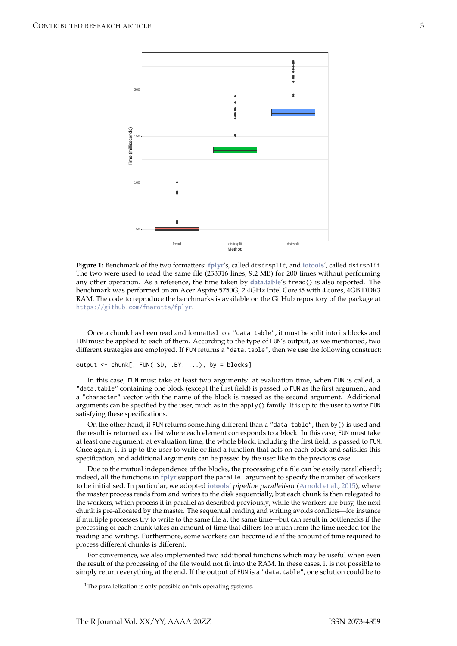<span id="page-2-0"></span>

**Figure 1:** Benchmark of the two formatters: **[fplyr](https://CRAN.R-project.org/package=fplyr)**'s, called dtstrsplit, and **[iotools](https://CRAN.R-project.org/package=iotools)**', called dstrsplit. The two were used to read the same file (253316 lines, 9.2 MB) for 200 times without performing any other operation. As a reference, the time taken by **[data.table](https://CRAN.R-project.org/package=data.table)**'s fread() is also reported. The benchmark was performed on an Acer Aspire 5750G, 2.4GHz Intel Core i5 with 4 cores, 4GB DDR3 RAM. The code to reproduce the benchmarks is available on the GitHub repository of the package at <https://github.com/fmarotta/fplyr>.

Once a chunk has been read and formatted to a "data.table", it must be split into its blocks and FUN must be applied to each of them. According to the type of FUN's output, as we mentioned, two different strategies are employed. If FUN returns a "data.table", then we use the following construct:

output  $\leq$  chunk[, FUN(.SD, .BY, ...), by = blocks]

In this case, FUN must take at least two arguments: at evaluation time, when FUN is called, a "data.table" containing one block (except the first field) is passed to FUN as the first argument, and a "character" vector with the name of the block is passed as the second argument. Additional arguments can be specified by the user, much as in the apply() family. It is up to the user to write FUN satisfying these specifications.

On the other hand, if FUN returns something different than a "data.table", then by() is used and the result is returned as a list where each element corresponds to a block. In this case, FUN must take at least one argument: at evaluation time, the whole block, including the first field, is passed to FUN. Once again, it is up to the user to write or find a function that acts on each block and satisfies this specification, and additional arguments can be passed by the user like in the previous case.

Due to the mutual independence of the blocks, the processing of a file can be easily parallelised $^1\!$  $^1\!$  $^1\!$ indeed, all the functions in **[fplyr](https://CRAN.R-project.org/package=fplyr)** support the parallel argument to specify the number of workers to be initialised. In particular, we adopted **[iotools](https://CRAN.R-project.org/package=iotools)**' pipeline parallelism [\(Arnold et al.,](#page-4-5) [2015\)](#page-4-5), where the master process reads from and writes to the disk sequentially, but each chunk is then relegated to the workers, which process it in parallel as described previously; while the workers are busy, the next chunk is pre-allocated by the master. The sequential reading and writing avoids conflicts—for instance if multiple processes try to write to the same file at the same time—but can result in bottlenecks if the processing of each chunk takes an amount of time that differs too much from the time needed for the reading and writing. Furthermore, some workers can become idle if the amount of time required to process different chunks is different.

For convenience, we also implemented two additional functions which may be useful when even the result of the processing of the file would not fit into the RAM. In these cases, it is not possible to simply return everything at the end. If the output of FUN is a "data.table", one solution could be to

<sup>&</sup>lt;sup>1</sup>The parallelisation is only possible on  $*$ nix operating systems.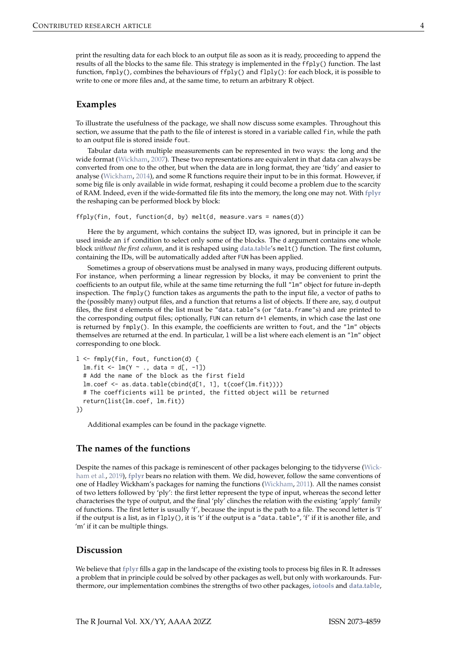print the resulting data for each block to an output file as soon as it is ready, proceeding to append the results of all the blocks to the same file. This strategy is implemented in the ffply() function. The last function, fmply(), combines the behaviours of ffply() and flply(): for each block, it is possible to write to one or more files and, at the same time, to return an arbitrary R object.

## **Examples**

To illustrate the usefulness of the package, we shall now discuss some examples. Throughout this section, we assume that the path to the file of interest is stored in a variable called fin, while the path to an output file is stored inside fout.

Tabular data with multiple measurements can be represented in two ways: the long and the wide format [\(Wickham,](#page-4-9) [2007\)](#page-4-9). These two representations are equivalent in that data can always be converted from one to the other, but when the data are in long format, they are 'tidy' and easier to analyse [\(Wickham,](#page-5-1) [2014\)](#page-5-1), and some R functions require their input to be in this format. However, if some big file is only available in wide format, reshaping it could become a problem due to the scarcity of RAM. Indeed, even if the wide-formatted file fits into the memory, the long one may not. With **[fplyr](https://CRAN.R-project.org/package=fplyr)** the reshaping can be performed block by block:

```
ffply(fin, fout, function(d, by) melt(d, measure.vars = names(d))
```
Here the by argument, which contains the subject ID, was ignored, but in principle it can be used inside an if condition to select only some of the blocks. The d argument contains one whole block *without the first column*, and it is reshaped using **[data.table](https://CRAN.R-project.org/package=data.table)**'s melt() function. The first column, containing the IDs, will be automatically added after FUN has been applied.

Sometimes a group of observations must be analysed in many ways, producing different outputs. For instance, when performing a linear regression by blocks, it may be convenient to print the coefficients to an output file, while at the same time returning the full "lm" object for future in-depth inspection. The fmply() function takes as arguments the path to the input file, a vector of paths to the (possibly many) output files, and a function that returns a list of objects. If there are, say, d output files, the first d elements of the list must be "data.table"s (or "data.frame"s) and are printed to the corresponding output files; optionally, FUN can return d+1 elements, in which case the last one is returned by fmply(). In this example, the coefficients are written to fout, and the "lm" objects themselves are returned at the end. In particular, l will be a list where each element is an "lm" object corresponding to one block.

```
l <- fmply(fin, fout, function(d) {
 lm.fit \leftarrow lm(Y \sim ., data = d[, -1])# Add the name of the block as the first field
 lm.coef <- as.data.table(cbind(d[1, 1], t(coef(lm.fit))))
 # The coefficients will be printed, the fitted object will be returned
 return(list(lm.coef, lm.fit))
})
```
<span id="page-3-0"></span>Additional examples can be found in the package vignette.

## **The names of the functions**

Despite the names of this package is reminescent of other packages belonging to the tidyverse [\(Wick](#page-5-2)[ham et al.,](#page-5-2) [2019\)](#page-5-2), **[fplyr](https://CRAN.R-project.org/package=fplyr)** bears no relation with them. We did, however, follow the same conventions of one of Hadley Wickham's packages for naming the functions [\(Wickham,](#page-5-0) [2011\)](#page-5-0). All the names consist of two letters followed by 'ply': the first letter represent the type of input, whereas the second letter characterises the type of output, and the final 'ply' clinches the relation with the existing 'apply' family of functions. The first letter is usually 'f', because the input is the path to a file. The second letter is 'l' if the output is a list, as in  $flply()$ , it is 't' if the output is a "data.table", 'f' if it is another file, and 'm' if it can be multiple things.

## **Discussion**

We believe that **[fplyr](https://CRAN.R-project.org/package=fplyr)** fills a gap in the landscape of the existing tools to process big files in R. It adresses a problem that in principle could be solved by other packages as well, but only with workarounds. Furthermore, our implementation combines the strengths of two other packages, **[iotools](https://CRAN.R-project.org/package=iotools)** and **[data.table](https://CRAN.R-project.org/package=data.table)**,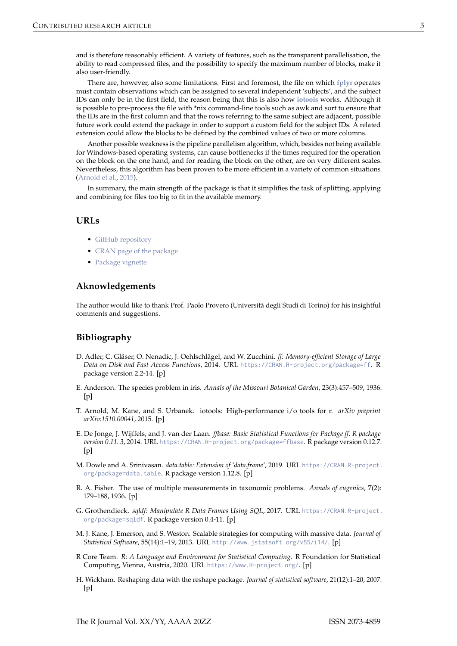and is therefore reasonably efficient. A variety of features, such as the transparent parallelisation, the ability to read compressed files, and the possibility to specify the maximum number of blocks, make it also user-friendly.

There are, however, also some limitations. First and foremost, the file on which **[fplyr](https://CRAN.R-project.org/package=fplyr)** operates must contain observations which can be assigned to several independent 'subjects', and the subject IDs can only be in the first field, the reason being that this is also how **[iotools](https://CRAN.R-project.org/package=iotools)** works. Although it is possible to pre-process the file with \*nix command-line tools such as awk and sort to ensure that the IDs are in the first column and that the rows referring to the same subject are adjacent, possible future work could extend the package in order to support a custom field for the subject IDs. A related extension could allow the blocks to be defined by the combined values of two or more columns.

Another possible weakness is the pipeline parallelism algorithm, which, besides not being available for Windows-based operating systems, can cause bottlenecks if the times required for the operation on the block on the one hand, and for reading the block on the other, are on very different scales. Nevertheless, this algorithm has been proven to be more efficient in a variety of common situations [\(Arnold et al.,](#page-4-5) [2015\)](#page-4-5).

In summary, the main strength of the package is that it simplifies the task of splitting, applying and combining for files too big to fit in the available memory.

## **URLs**

- [GitHub repository](https://github.com/fmarotta/fplyr)
- [CRAN page of the package](https://cran.r-project.org/package=fplyr)
- [Package vignette](https://cran.r-project.org/web/packages/fplyr/vignettes/fplyr.html)

## **Aknowledgements**

The author would like to thank Prof. Paolo Provero (Università degli Studi di Torino) for his insightful comments and suggestions.

## **Bibliography**

- <span id="page-4-3"></span>D. Adler, C. Gläser, O. Nenadic, J. Oehlschlägel, and W. Zucchini. *ff: Memory-efficient Storage of Large Data on Disk and Fast Access Functions*, 2014. URL <https://CRAN.R-project.org/package=ff>. R package version 2.2-14. [p]
- <span id="page-4-6"></span>E. Anderson. The species problem in iris. *Annals of the Missouri Botanical Garden*, 23(3):457–509, 1936.  $[p]$
- <span id="page-4-5"></span>T. Arnold, M. Kane, and S. Urbanek. iotools: High-performance i/o tools for r. *arXiv preprint arXiv:1510.00041*, 2015. [p]
- <span id="page-4-4"></span>E. De Jonge, J. Wijffels, and J. van der Laan. *ffbase: Basic Statistical Functions for Package ff. R package version 0.11. 3*, 2014. URL <https://CRAN.R-project.org/package=ffbase>. R package version 0.12.7.  $[p]$
- <span id="page-4-8"></span>M. Dowle and A. Srinivasan. *data.table: Extension of 'data.frame'*, 2019. URL [https://CRAN.R-project.](https://CRAN.R-project.org/package=data.table) [org/package=data.table](https://CRAN.R-project.org/package=data.table). R package version 1.12.8. [p]
- <span id="page-4-7"></span>R. A. Fisher. The use of multiple measurements in taxonomic problems. *Annals of eugenics*, 7(2): 179–188, 1936. [p]
- <span id="page-4-1"></span>G. Grothendieck. *sqldf: Manipulate R Data Frames Using SQL*, 2017. URL [https://CRAN.R-project.](https://CRAN.R-project.org/package=sqldf) [org/package=sqldf](https://CRAN.R-project.org/package=sqldf). R package version 0.4-11. [p]
- <span id="page-4-2"></span>M. J. Kane, J. Emerson, and S. Weston. Scalable strategies for computing with massive data. *Journal of Statistical Software*, 55(14):1–19, 2013. URL <http://www.jstatsoft.org/v55/i14/>. [p]
- <span id="page-4-0"></span>R Core Team. *R: A Language and Environment for Statistical Computing*. R Foundation for Statistical Computing, Vienna, Austria, 2020. URL <https://www.R-project.org/>. [p]
- <span id="page-4-9"></span>H. Wickham. Reshaping data with the reshape package. *Journal of statistical software*, 21(12):1–20, 2007.  $[p]$